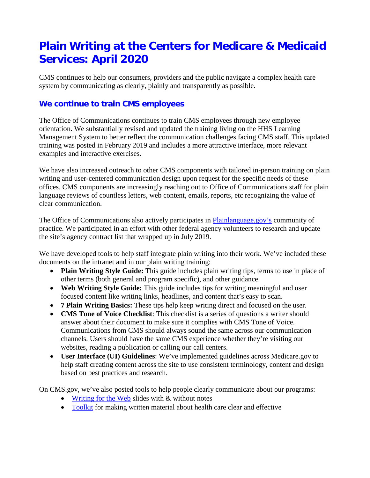# **Plain Writing at the Centers for Medicare & Medicaid Services: April 2020**

CMS continues to help our consumers, providers and the public navigate a complex health care system by communicating as clearly, plainly and transparently as possible.

# **We continue to train CMS employees**

The Office of Communications continues to train CMS employees through new employee orientation. We substantially revised and updated the training living on the HHS Learning Management System to better reflect the communication challenges facing CMS staff. This updated training was posted in February 2019 and includes a more attractive interface, more relevant examples and interactive exercises.

We have also increased outreach to other CMS components with tailored in-person training on plain writing and user-centered communication design upon request for the specific needs of these offices. CMS components are increasingly reaching out to Office of Communications staff for plain language reviews of countless letters, web content, emails, reports, etc recognizing the value of clear communication.

The Office of Communications also actively participates in [Plainlanguage.gov's](http://www.plainlanguage.gov/) community of practice. We participated in an effort with other federal agency volunteers to research and update the site's agency contract list that wrapped up in July 2019.

We have developed tools to help staff integrate plain writing into their work. We've included these documents on the intranet and in our plain writing training:

- **Plain Writing Style Guide:** This guide includes plain writing tips, terms to use in place of other terms (both general and program specific), and other guidance.
- **Web Writing Style Guide:** This guide includes tips for writing meaningful and user focused content like writing links, headlines, and content that's easy to scan.
- **7 Plain Writing Basics:** These tips help keep writing direct and focused on the user.
- **CMS Tone of Voice Checklist**: This checklist is a series of questions a writer should answer about their document to make sure it complies with CMS Tone of Voice. Communications from CMS should always sound the same across our communication channels. Users should have the same CMS experience whether they're visiting our websites, reading a publication or calling our call centers.
- **User Interface (UI) Guidelines**: We've implemented guidelines across Medicare.gov to help staff creating content across the site to use consistent terminology, content and design based on best practices and research.

On CMS.gov, we've also posted tools to help people clearly communicate about our programs:

- [Writing for the Web](https://www.cms.gov/Outreach-and-Education/Reach-Out/Find-tools-to-help-you-help-others/Writing-for-the-Web.zip) slides with & without notes
- [Toolkit](https://www.cms.gov/Outreach-and-Education/Outreach/WrittenMaterialsToolkit/ToolkitTableOfContents) for making written material about health care clear and effective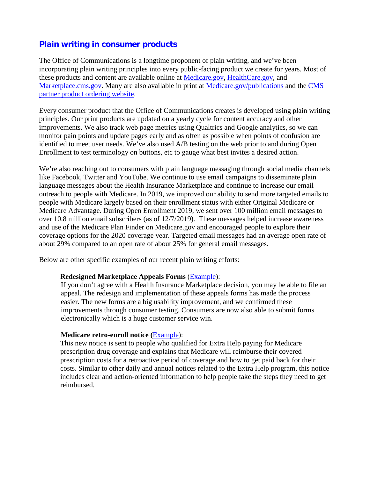## **Plain writing in consumer products**

The Office of Communications is a longtime proponent of plain writing, and we've been incorporating plain writing principles into every public-facing product we create for years. Most of these products and content are available online at [Medicare.gov,](http://www.medicare.gov/) [HealthCare.gov,](http://www.healthcare.gov/) and [Marketplace.cms.gov.](https://marketplace.cms.gov/) Many are also available in print at [Medicare.gov/publications](http://www.medicare.gov/publications) and the CMS [partner product ordering website.](http://productordering.cms.hhs.gov/)

Every consumer product that the Office of Communications creates is developed using plain writing principles. Our print products are updated on a yearly cycle for content accuracy and other improvements. We also track web page metrics using Qualtrics and Google analytics, so we can monitor pain points and update pages early and as often as possible when points of confusion are identified to meet user needs. We've also used A/B testing on the web prior to and during Open Enrollment to test terminology on buttons, etc to gauge what best invites a desired action.

We're also reaching out to consumers with plain language messaging through social media channels like Facebook, Twitter and YouTube. We continue to use email campaigns to disseminate plain language messages about the Health Insurance Marketplace and continue to increase our email outreach to people with Medicare. In 2019, we improved our ability to send more targeted emails to people with Medicare largely based on their enrollment status with either Original Medicare or Medicare Advantage. During Open Enrollment 2019, we sent over 100 million email messages to over 10.8 million email subscribers (as of 12/7/2019). These messages helped increase awareness and use of the Medicare Plan Finder on Medicare.gov and encouraged people to explore their coverage options for the 2020 coverage year. Targeted email messages had an average open rate of about 29% compared to an open rate of about 25% for general email messages.

Below are other specific examples of our recent plain writing efforts:

#### **Redesigned Marketplace Appeals Forms** [\(Example\)](https://www.healthcare.gov/downloads/marketplace-appeal-request-form-fillable-ftr.pdf):

If you don't agree with a Health Insurance Marketplace decision, you may be able to file an appeal. The redesign and implementation of these appeals forms has made the process easier. The new forms are a big usability improvement, and we confirmed these improvements through consumer testing. Consumers are now also able to submit forms electronically which is a huge customer service win.

#### **Medicare retro-enroll notice (**[Example\)](https://www.cms.gov/medicareprescription-drug-coveragelimitedincomeandresourceslis-notices-and-mailings/auto-enrollment-retroactive-reimbursement-notice):

This new notice is sent to people who qualified for Extra Help paying for Medicare prescription drug coverage and explains that Medicare will reimburse their covered prescription costs for a retroactive period of coverage and how to get paid back for their costs. Similar to other daily and annual notices related to the Extra Help program, this notice includes clear and action-oriented information to help people take the steps they need to get reimbursed.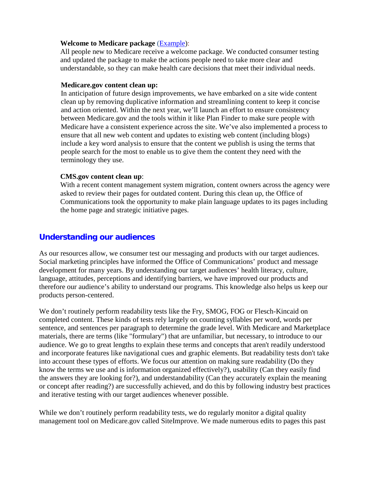#### **Welcome to Medicare package** [\(Example\)](https://www.medicare.gov/forms-help-resources/mail-you-get-about-medicare/welcome-to-medicare-package-automatically-enrolled):

All people new to Medicare receive a welcome package. We conducted consumer testing and updated the package to make the actions people need to take more clear and understandable, so they can make health care decisions that meet their individual needs.

#### **Medicare.gov content clean up:**

In anticipation of future design improvements, we have embarked on a site wide content clean up by removing duplicative information and streamlining content to keep it concise and action oriented. Within the next year, we'll launch an effort to ensure consistency between Medicare.gov and the tools within it like Plan Finder to make sure people with Medicare have a consistent experience across the site. We've also implemented a process to ensure that all new web content and updates to existing web content (including blogs) include a key word analysis to ensure that the content we publish is using the terms that people search for the most to enable us to give them the content they need with the terminology they use.

#### **CMS.gov content clean up**:

With a recent content management system migration, content owners across the agency were asked to review their pages for outdated content. During this clean up, the Office of Communications took the opportunity to make plain language updates to its pages including the home page and strategic initiative pages.

### **Understanding our audiences**

As our resources allow, we consumer test our messaging and products with our target audiences. Social marketing principles have informed the Office of Communications' product and message development for many years. By understanding our target audiences' health literacy, culture, language, attitudes, perceptions and identifying barriers, we have improved our products and therefore our audience's ability to understand our programs. This knowledge also helps us keep our products person-centered.

We don't routinely perform readability tests like the Fry, SMOG, FOG or Flesch-Kincaid on completed content. These kinds of tests rely largely on counting syllables per word, words per sentence, and sentences per paragraph to determine the grade level. With Medicare and Marketplace materials, there are terms (like "formulary") that are unfamiliar, but necessary, to introduce to our audience. We go to great lengths to explain these terms and concepts that aren't readily understood and incorporate features like navigational cues and graphic elements. But readability tests don't take into account these types of efforts. We focus our attention on making sure readability (Do they know the terms we use and is information organized effectively?), usability (Can they easily find the answers they are looking for?), and understandability (Can they accurately explain the meaning or concept after reading?) are successfully achieved, and do this by following industry best practices and iterative testing with our target audiences whenever possible.

While we don't routinely perform readability tests, we do regularly monitor a digital quality management tool on Medicare.gov called SiteImprove. We made numerous edits to pages this past